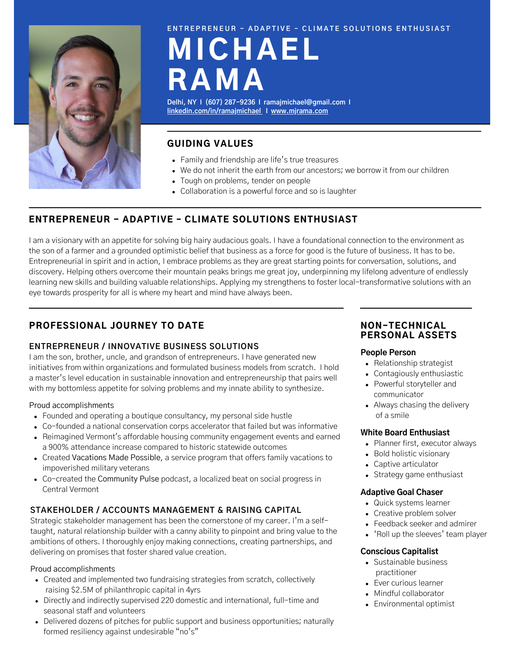

#### ENTREPRENEUR - ADAPTIVE - CLIMATE SOLUTIONS ENTHUSIAST

# MICHAEL RAMA

**Delhi, NY I (607) 287-9236 I ramajmichael@gmail.com I [l](http://www.linkedin.com/in/ramajmichael.com)[inkedin.com/in/ramajmichael](http://www.linkedin.com/in/ramajmichael) I [www.mjrama.com](http://www.mjrama.com/)**

# GUIDING VALUES

- Family and friendship are life's true treasures
- We do not inherit the earth from our ancestors; we borrow it from our children
- Tough on problems, tender on people
- Collaboration is a powerful force and so is laughter

# ENTREPRENEUR - ADAPTIVE – CLIMATE SOLUTIONS ENTHUSIAST

I am a visionary with an appetite for solving big hairy audacious goals. I have a foundational connection to the environment as the son of a farmer and a grounded optimistic belief that business as a force for good is the future of business. It has to be. Entrepreneurial in spirit and in action, I embrace problems as they are great starting points for conversation, solutions, and discovery. Helping others overcome their mountain peaks brings me great joy, underpinning my lifelong adventure of endlessly learning new skills and building valuable relationships. Applying my strengthens to foster local-transformative solutions with an eye towards prosperity for all is where my heart and mind have always been.

# PROFESSIONAL JOURNEY TO DATE

## **ENTREPRENEUR / INNOVATIVE BUSINESS SOLUTIONS**

I am the son, brother, uncle, and grandson of entrepreneurs. I have generated new initiatives from within organizations and formulated business models from scratch. I hold a master's level education in sustainable innovation and entrepreneurship that pairs well with my bottomless appetite for solving problems and my innate ability to synthesize.

## Proud accomplishments

- Founded and operating a boutique consultancy, my personal side hustle
- Co-founded a national conservation corps accelerator that failed but was informative
- Reimagined Vermont's affordable housing community engagement events and earned a 900% attendance increase compared to historic statewide outcomes
- Created Vacations Made Possible, a service program that offers family vacations to impoverished military veterans
- Co-created the Community Pulse podcast, a localized beat on social progress in Central Vermont

# **STAKEHOLDER / ACCOUNTS MANAGEMENT & RAISING CAPITAL**

Strategic stakeholder management has been the cornerstone of my career. I'm a selftaught, natural relationship builder with a canny ability to pinpoint and bring value to the ambitions of others. I thoroughly enjoy making connections, creating partnerships, and delivering on promises that foster shared value creation.

#### Proud accomplishments

- Created and implemented two fundraising strategies from scratch, collectively raising \$2.5M of philanthropic capital in 4yrs
- Directly and indirectly supervised 220 domestic and international, full-time and seasonal staff and volunteers
- Delivered dozens of pitches for public support and business opportunities; naturally formed resiliency against undesirable "no's"

## NON-TECHNICAL PERSONAL ASSETS

## **People Person**

- Relationship strategist
- Contagiously enthusiastic
- Powerful storyteller and communicator
- Always chasing the delivery of a smile

## **White Board Enthusiast**

- Planner first, executor always
- Bold holistic visionary
- Captive articulator
- Strategy game enthusiast

#### **Adaptive Goal Chaser**

- Quick systems learner
- Creative problem solver
- Feedback seeker and admirer
- 'Roll up the sleeves' team player

## **Conscious Capitalist**

- Sustainable business practitioner
- Ever curious learner
- Mindful collaborator
- Environmental optimist